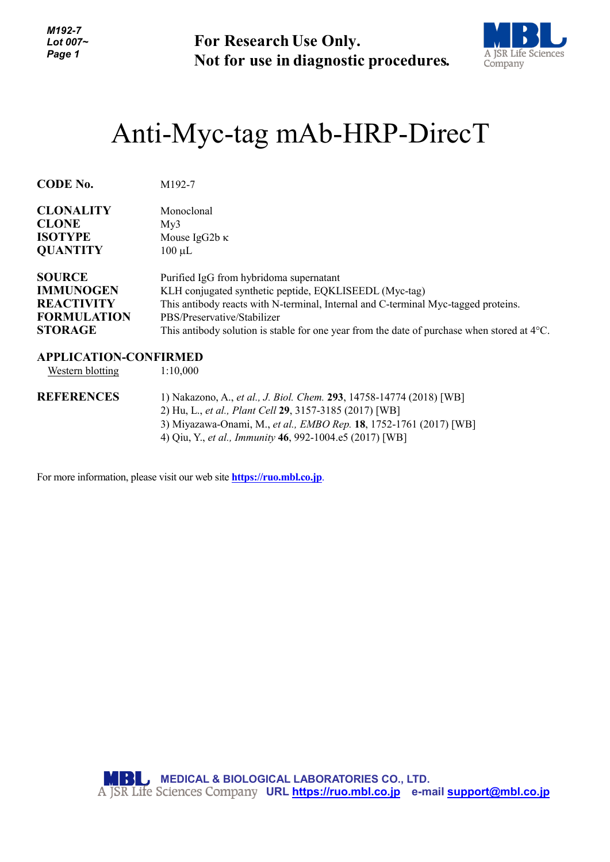*M192-7 Lot 007~ Page 1*

**For Research Use Only. Not for use in diagnostic procedures.**



## Anti-Myc-tag mAb-HRP-DirecT

| <b>CODE No.</b>    | M192-7                                                                                                |
|--------------------|-------------------------------------------------------------------------------------------------------|
| <b>CLONALITY</b>   | Monoclonal                                                                                            |
| <b>CLONE</b>       | Mv3                                                                                                   |
| <b>ISOTYPE</b>     | Mouse IgG2b $\kappa$                                                                                  |
| <b>QUANTITY</b>    | $100 \mu L$                                                                                           |
| <b>SOURCE</b>      | Purified IgG from hybridoma supernatant                                                               |
| <b>IMMUNOGEN</b>   | KLH conjugated synthetic peptide, EQKLISEEDL (Myc-tag)                                                |
| <b>REACTIVITY</b>  | This antibody reacts with N-terminal, Internal and C-terminal Myc-tagged proteins.                    |
| <b>FORMULATION</b> | PBS/Preservative/Stabilizer                                                                           |
| <b>STORAGE</b>     | This antibody solution is stable for one year from the date of purchase when stored at $4^{\circ}$ C. |

## **APPLICATION-CONFIRMED**

Western blotting 1:10,000

**REFERENCES** 1) Nakazono, A., *et al., J. Biol. Chem.* **293**, 14758-14774 (2018) [WB] 2) Hu, L., *et al., Plant Cell* **29**, 3157-3185 (2017) [WB] 3) Miyazawa-Onami, M., *et al., EMBO Rep.* **18**, 1752-1761 (2017) [WB] 4) Qiu, Y., *et al., Immunity* **46**, 992-1004.e5 (2017) [WB]

For more information, please visit our web site **https://ruo.mbl.co.jp**.